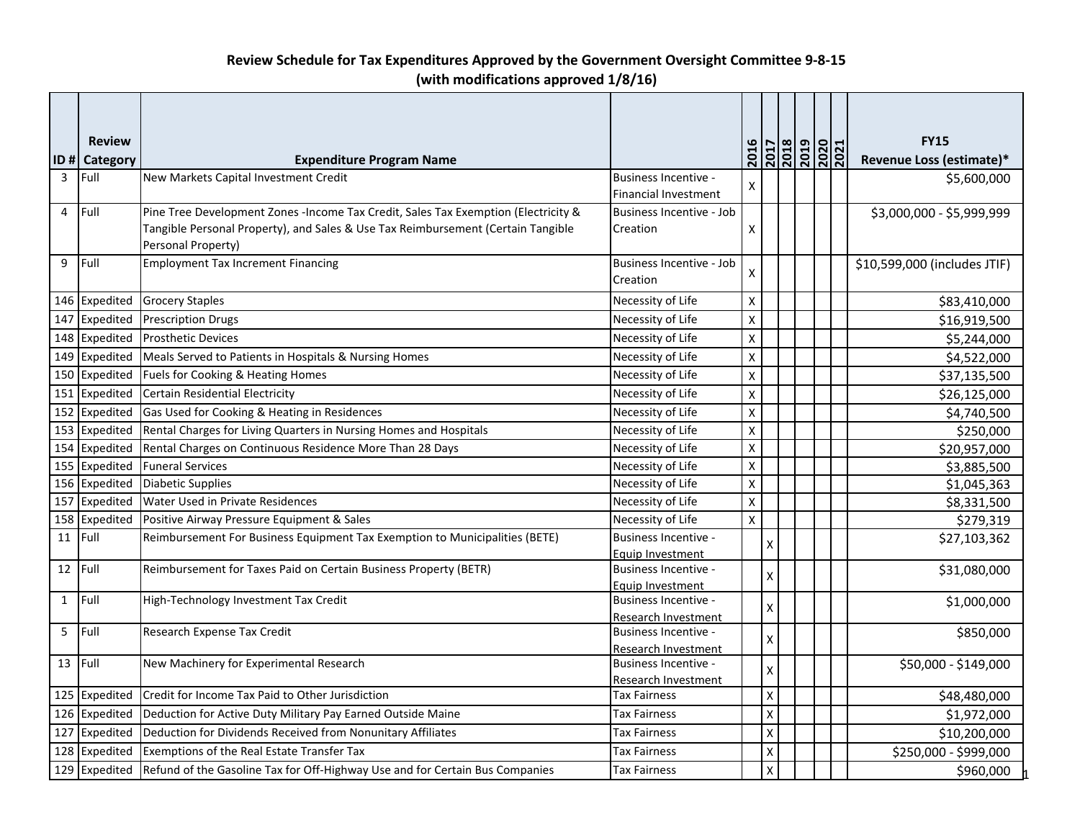|                | <b>Review</b> |                                                                                                                                                                        |                                                    | 2016               |                    | <u>2017</u><br>2018 | 2019 | 2020<br>2021 | <b>FY15</b>                  |
|----------------|---------------|------------------------------------------------------------------------------------------------------------------------------------------------------------------------|----------------------------------------------------|--------------------|--------------------|---------------------|------|--------------|------------------------------|
|                | ID # Category | <b>Expenditure Program Name</b>                                                                                                                                        |                                                    |                    |                    |                     |      |              | Revenue Loss (estimate)*     |
| $\overline{3}$ | Full          | New Markets Capital Investment Credit                                                                                                                                  | <b>Business Incentive -</b>                        | x                  |                    |                     |      |              | \$5,600,000                  |
|                |               |                                                                                                                                                                        | <b>Financial Investment</b>                        |                    |                    |                     |      |              |                              |
| 4              | Full          | Pine Tree Development Zones -Income Tax Credit, Sales Tax Exemption (Electricity &<br>Tangible Personal Property), and Sales & Use Tax Reimbursement (Certain Tangible | Business Incentive - Job<br>Creation               |                    |                    |                     |      |              | \$3,000,000 - \$5,999,999    |
|                |               | Personal Property)                                                                                                                                                     |                                                    | $\mathsf{x}$       |                    |                     |      |              |                              |
| 9              | Full          | <b>Employment Tax Increment Financing</b>                                                                                                                              | <b>Business Incentive - Job</b>                    |                    |                    |                     |      |              | \$10,599,000 (includes JTIF) |
|                |               |                                                                                                                                                                        | Creation                                           | X                  |                    |                     |      |              |                              |
|                | 146 Expedited | <b>Grocery Staples</b>                                                                                                                                                 | Necessity of Life                                  | $\pmb{\times}$     |                    |                     |      |              | \$83,410,000                 |
|                | 147 Expedited | <b>Prescription Drugs</b>                                                                                                                                              | Necessity of Life                                  | Χ                  |                    |                     |      |              | \$16,919,500                 |
|                | 148 Expedited | <b>Prosthetic Devices</b>                                                                                                                                              | Necessity of Life                                  | X                  |                    |                     |      |              | \$5,244,000                  |
|                | 149 Expedited | Meals Served to Patients in Hospitals & Nursing Homes                                                                                                                  | Necessity of Life                                  | Χ                  |                    |                     |      |              | \$4,522,000                  |
|                | 150 Expedited | Fuels for Cooking & Heating Homes                                                                                                                                      | Necessity of Life                                  | Χ                  |                    |                     |      |              | \$37,135,500                 |
|                | 151 Expedited | Certain Residential Electricity                                                                                                                                        | Necessity of Life                                  | Χ                  |                    |                     |      |              | \$26,125,000                 |
|                | 152 Expedited | Gas Used for Cooking & Heating in Residences                                                                                                                           | Necessity of Life                                  | X                  |                    |                     |      |              | \$4,740,500                  |
|                | 153 Expedited | Rental Charges for Living Quarters in Nursing Homes and Hospitals                                                                                                      | Necessity of Life                                  | Χ                  |                    |                     |      |              | \$250,000                    |
|                | 154 Expedited | Rental Charges on Continuous Residence More Than 28 Days                                                                                                               | Necessity of Life                                  | $\pmb{\mathsf{X}}$ |                    |                     |      |              | \$20,957,000                 |
|                | 155 Expedited | <b>Funeral Services</b>                                                                                                                                                | Necessity of Life                                  | $\pmb{\mathsf{X}}$ |                    |                     |      |              | \$3,885,500                  |
|                | 156 Expedited | <b>Diabetic Supplies</b>                                                                                                                                               | Necessity of Life                                  | X                  |                    |                     |      |              | \$1,045,363                  |
|                | 157 Expedited | <b>Water Used in Private Residences</b>                                                                                                                                | Necessity of Life                                  | $\pmb{\mathsf{X}}$ |                    |                     |      |              | \$8,331,500                  |
|                | 158 Expedited | Positive Airway Pressure Equipment & Sales                                                                                                                             | Necessity of Life                                  | Χ                  |                    |                     |      |              | \$279,319                    |
|                | 11 Full       | Reimbursement For Business Equipment Tax Exemption to Municipalities (BETE)                                                                                            | <b>Business Incentive -</b><br>Equip Investment    |                    | X                  |                     |      |              | \$27,103,362                 |
| 12             | Full          | Reimbursement for Taxes Paid on Certain Business Property (BETR)                                                                                                       | <b>Business Incentive -</b>                        |                    |                    |                     |      |              | \$31,080,000                 |
|                |               |                                                                                                                                                                        | Equip Investment                                   |                    | X                  |                     |      |              |                              |
| $\mathbf{1}$   | Full          | High-Technology Investment Tax Credit                                                                                                                                  | <b>Business Incentive -</b>                        |                    | $\mathsf{X}$       |                     |      |              | \$1,000,000                  |
|                |               |                                                                                                                                                                        | Research Investment                                |                    |                    |                     |      |              |                              |
| 5              | Full          | Research Expense Tax Credit                                                                                                                                            | <b>Business Incentive -</b>                        |                    | X                  |                     |      |              | \$850,000                    |
|                | 13 Full       | New Machinery for Experimental Research                                                                                                                                | Research Investment<br><b>Business Incentive -</b> |                    |                    |                     |      |              | \$50,000 - \$149,000         |
|                |               |                                                                                                                                                                        | Research Investment                                |                    | X                  |                     |      |              |                              |
|                | 125 Expedited | <b>Credit for Income Tax Paid to Other Jurisdiction</b>                                                                                                                | Tax Fairness                                       |                    | X                  |                     |      |              | \$48,480,000                 |
|                | 126 Expedited | Deduction for Active Duty Military Pay Earned Outside Maine                                                                                                            | <b>Tax Fairness</b>                                |                    | $\pmb{\mathsf{X}}$ |                     |      |              | \$1,972,000                  |
|                | 127 Expedited | Deduction for Dividends Received from Nonunitary Affiliates                                                                                                            | Tax Fairness                                       |                    | $\pmb{\mathsf{X}}$ |                     |      |              | \$10,200,000                 |
|                | 128 Expedited | Exemptions of the Real Estate Transfer Tax                                                                                                                             | <b>Tax Fairness</b>                                |                    | $\pmb{\mathsf{X}}$ |                     |      |              | \$250,000 - \$999,000        |
|                | 129 Expedited | Refund of the Gasoline Tax for Off-Highway Use and for Certain Bus Companies                                                                                           | <b>Tax Fairness</b>                                |                    | $\pmb{\mathsf{X}}$ |                     |      |              | \$960,000                    |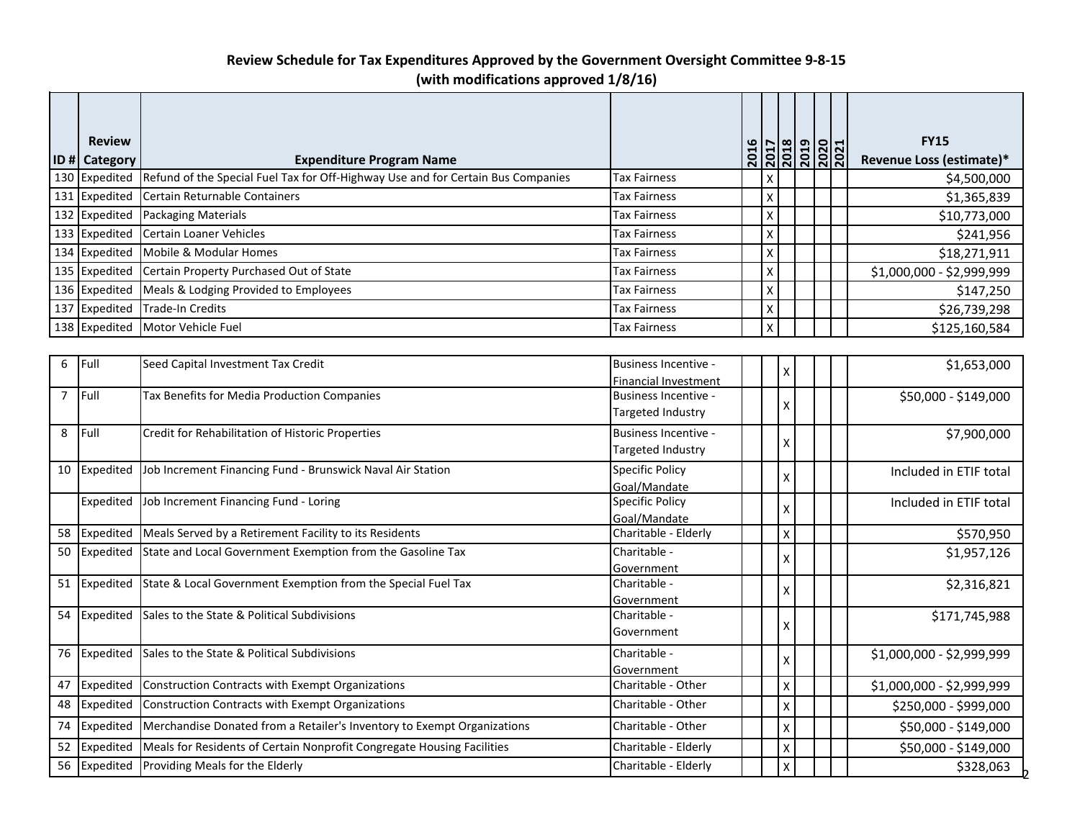|                | <b>Review</b>   |                                                                                  |                                                  |                                            |                    |                           |  | <b>FY15</b>               |
|----------------|-----------------|----------------------------------------------------------------------------------|--------------------------------------------------|--------------------------------------------|--------------------|---------------------------|--|---------------------------|
| ID#            | <b>Category</b> | <b>Expenditure Program Name</b>                                                  |                                                  | 12012<br><u>12013 12020</u><br>12020 12021 |                    |                           |  | Revenue Loss (estimate)*  |
| 130            | Expedited       | Refund of the Special Fuel Tax for Off-Highway Use and for Certain Bus Companies | <b>Tax Fairness</b>                              |                                            | $\pmb{\mathsf{X}}$ |                           |  | \$4,500,000               |
| 131            | Expedited       | Certain Returnable Containers                                                    | Tax Fairness                                     |                                            | X                  |                           |  | \$1,365,839               |
|                | 132 Expedited   | <b>Packaging Materials</b>                                                       | <b>Tax Fairness</b>                              |                                            | $\pmb{\mathsf{X}}$ |                           |  | \$10,773,000              |
|                | 133 Expedited   | Certain Loaner Vehicles                                                          | <b>Tax Fairness</b>                              |                                            | $\pmb{\mathsf{X}}$ |                           |  | \$241,956                 |
|                | 134 Expedited   | Mobile & Modular Homes                                                           | <b>Tax Fairness</b>                              |                                            | $\pmb{\mathsf{X}}$ |                           |  | \$18,271,911              |
|                | 135 Expedited   | Certain Property Purchased Out of State                                          | <b>Tax Fairness</b>                              |                                            | $\pmb{\mathsf{X}}$ |                           |  | \$1,000,000 - \$2,999,999 |
|                | 136 Expedited   | Meals & Lodging Provided to Employees                                            | <b>Tax Fairness</b>                              |                                            | $\mathsf{\chi}$    |                           |  | \$147,250                 |
|                | 137 Expedited   | Trade-In Credits                                                                 | <b>Tax Fairness</b>                              |                                            | X                  |                           |  | \$26,739,298              |
|                | 138 Expedited   | Motor Vehicle Fuel                                                               | <b>Tax Fairness</b>                              |                                            | X                  |                           |  | \$125,160,584             |
|                |                 |                                                                                  |                                                  |                                            |                    |                           |  |                           |
| 6              | Full            | Seed Capital Investment Tax Credit                                               | <b>Business Incentive -</b>                      |                                            |                    | $\pmb{\mathsf{X}}$        |  | \$1,653,000               |
|                |                 |                                                                                  | <b>Financial Investment</b>                      |                                            |                    |                           |  |                           |
| $\overline{7}$ | Full            | Tax Benefits for Media Production Companies                                      | <b>Business Incentive -</b><br>Targeted Industry |                                            |                    | X                         |  | \$50,000 - \$149,000      |
|                |                 |                                                                                  |                                                  |                                            |                    |                           |  |                           |
| 8              | Full            | Credit for Rehabilitation of Historic Properties                                 | <b>Business Incentive -</b>                      |                                            |                    | X                         |  | \$7,900,000               |
|                |                 |                                                                                  | Targeted Industry                                |                                            |                    |                           |  |                           |
| 10             | Expedited       | Job Increment Financing Fund - Brunswick Naval Air Station                       | <b>Specific Policy</b><br>Goal/Mandate           |                                            |                    | X                         |  | Included in ETIF total    |
|                | Expedited       | Job Increment Financing Fund - Loring                                            | <b>Specific Policy</b>                           |                                            |                    |                           |  | Included in ETIF total    |
|                |                 |                                                                                  | Goal/Mandate                                     |                                            |                    | X                         |  |                           |
| 58             | Expedited       | Meals Served by a Retirement Facility to its Residents                           | Charitable - Elderly                             |                                            |                    | $\pmb{\mathsf{X}}$        |  | \$570,950                 |
| 50             | Expedited       | State and Local Government Exemption from the Gasoline Tax                       | Charitable -                                     |                                            |                    | X                         |  | \$1,957,126               |
|                |                 |                                                                                  | Government                                       |                                            |                    |                           |  |                           |
| 51             | Expedited       | State & Local Government Exemption from the Special Fuel Tax                     | Charitable -                                     |                                            |                    | $\pmb{\mathsf{X}}$        |  | \$2,316,821               |
| 54             |                 | Expedited Sales to the State & Political Subdivisions                            | Government<br>Charitable -                       |                                            |                    |                           |  | \$171,745,988             |
|                |                 |                                                                                  | Government                                       |                                            |                    | X                         |  |                           |
| 76             |                 | Expedited Sales to the State & Political Subdivisions                            | Charitable -                                     |                                            |                    |                           |  | \$1,000,000 - \$2,999,999 |
|                |                 |                                                                                  | Government                                       |                                            |                    | X                         |  |                           |
| 47             | Expedited       | Construction Contracts with Exempt Organizations                                 | Charitable - Other                               |                                            |                    | X                         |  | \$1,000,000 - \$2,999,999 |
| 48             | Expedited       | Construction Contracts with Exempt Organizations                                 | Charitable - Other                               |                                            |                    | $\pmb{\mathsf{X}}$        |  | \$250,000 - \$999,000     |
| 74             | Expedited       | Merchandise Donated from a Retailer's Inventory to Exempt Organizations          | Charitable - Other                               |                                            |                    | $\boldsymbol{\mathsf{X}}$ |  | \$50,000 - \$149,000      |
| 52             | Expedited       | Meals for Residents of Certain Nonprofit Congregate Housing Facilities           | Charitable - Elderly                             |                                            |                    | X                         |  | \$50,000 - \$149,000      |
| 56             | Expedited       | Providing Meals for the Elderly                                                  | Charitable - Elderly                             |                                            |                    | X                         |  | \$328,063                 |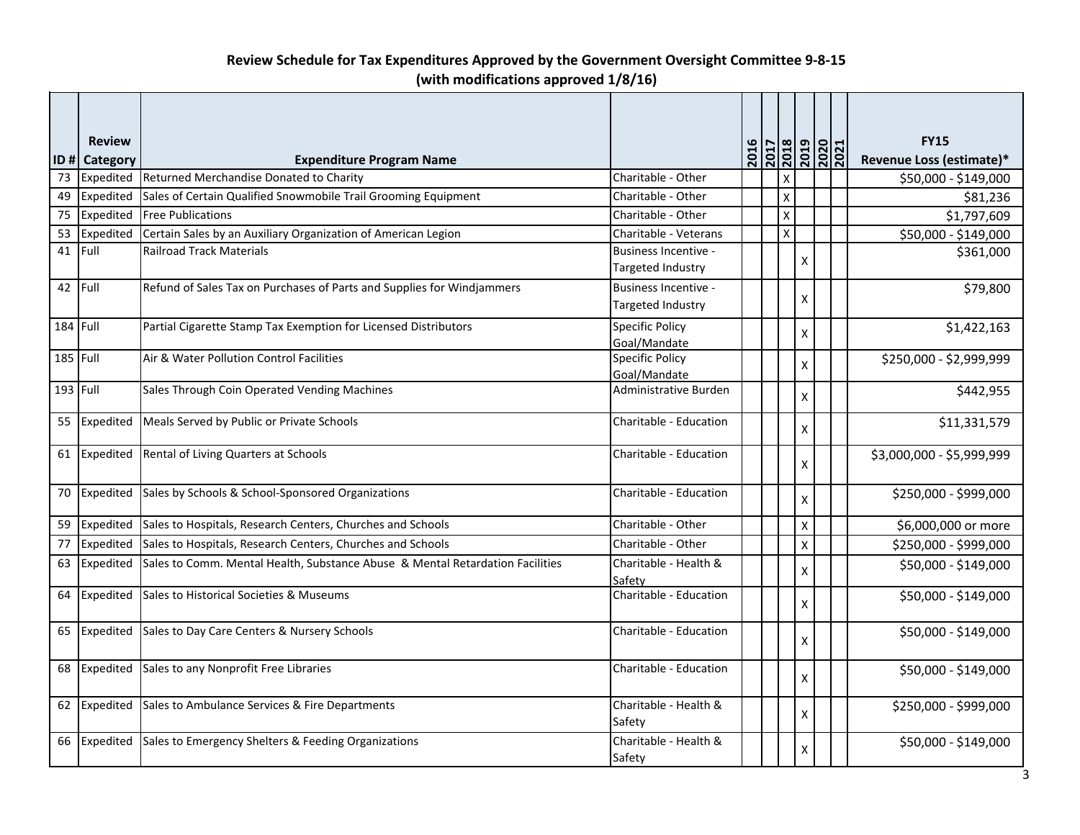|          | <b>Review</b>                     |                                                                               |                                           | 2016 |                           |   |  | <b>FY15</b>                                      |
|----------|-----------------------------------|-------------------------------------------------------------------------------|-------------------------------------------|------|---------------------------|---|--|--------------------------------------------------|
| 73       | <b>ID # Category</b><br>Expedited | <b>Expenditure Program Name</b><br>Returned Merchandise Donated to Charity    | Charitable - Other                        |      | $\boldsymbol{\mathsf{X}}$ |   |  | Revenue Loss (estimate)*<br>\$50,000 - \$149,000 |
| 49       | Expedited                         | Sales of Certain Qualified Snowmobile Trail Grooming Equipment                | Charitable - Other                        |      | $\boldsymbol{\mathsf{X}}$ |   |  | \$81,236                                         |
| 75       | Expedited                         | <b>Free Publications</b>                                                      | Charitable - Other                        |      | $\boldsymbol{\mathsf{X}}$ |   |  | \$1,797,609                                      |
| 53       | Expedited                         | Certain Sales by an Auxiliary Organization of American Legion                 | Charitable - Veterans                     |      | $\mathsf{x}$              |   |  | \$50,000 - \$149,000                             |
| 41       | Full                              | <b>Railroad Track Materials</b>                                               | Business Incentive -<br>Targeted Industry |      |                           | X |  | \$361,000                                        |
|          | 42 Full                           | Refund of Sales Tax on Purchases of Parts and Supplies for Windjammers        | Business Incentive -<br>Targeted Industry |      |                           | X |  | \$79,800                                         |
| 184 Full |                                   | Partial Cigarette Stamp Tax Exemption for Licensed Distributors               | <b>Specific Policy</b><br>Goal/Mandate    |      |                           | X |  | \$1,422,163                                      |
| 185 Full |                                   | Air & Water Pollution Control Facilities                                      | <b>Specific Policy</b><br>Goal/Mandate    |      |                           | X |  | \$250,000 - \$2,999,999                          |
| 193 Full |                                   | Sales Through Coin Operated Vending Machines                                  | Administrative Burden                     |      |                           | X |  | \$442,955                                        |
|          | 55 Expedited                      | Meals Served by Public or Private Schools                                     | Charitable - Education                    |      |                           | X |  | \$11,331,579                                     |
|          | 61 Expedited                      | Rental of Living Quarters at Schools                                          | Charitable - Education                    |      |                           | X |  | \$3,000,000 - \$5,999,999                        |
| 70       | Expedited                         | Sales by Schools & School-Sponsored Organizations                             | Charitable - Education                    |      |                           | X |  | \$250,000 - \$999,000                            |
| 59       | Expedited                         | Sales to Hospitals, Research Centers, Churches and Schools                    | Charitable - Other                        |      |                           | X |  | \$6,000,000 or more                              |
| 77       | Expedited                         | Sales to Hospitals, Research Centers, Churches and Schools                    | Charitable - Other                        |      |                           | X |  | \$250,000 - \$999,000                            |
| 63       | Expedited                         | Sales to Comm. Mental Health, Substance Abuse & Mental Retardation Facilities | Charitable - Health &<br>Safety           |      |                           | X |  | \$50,000 - \$149,000                             |
|          | 64 Expedited                      | Sales to Historical Societies & Museums                                       | Charitable - Education                    |      |                           | X |  | \$50,000 - \$149,000                             |
|          | 65 Expedited                      | Sales to Day Care Centers & Nursery Schools                                   | Charitable - Education                    |      |                           | Χ |  | \$50,000 - \$149,000                             |
| 68       | Expedited                         | Sales to any Nonprofit Free Libraries                                         | Charitable - Education                    |      |                           | X |  | \$50,000 - \$149,000                             |
|          | 62 Expedited                      | Sales to Ambulance Services & Fire Departments                                | Charitable - Health &<br>Safety           |      |                           | X |  | \$250,000 - \$999,000                            |
|          | 66 Expedited                      | Sales to Emergency Shelters & Feeding Organizations                           | Charitable - Health &<br>Safety           |      |                           | X |  | \$50,000 - \$149,000                             |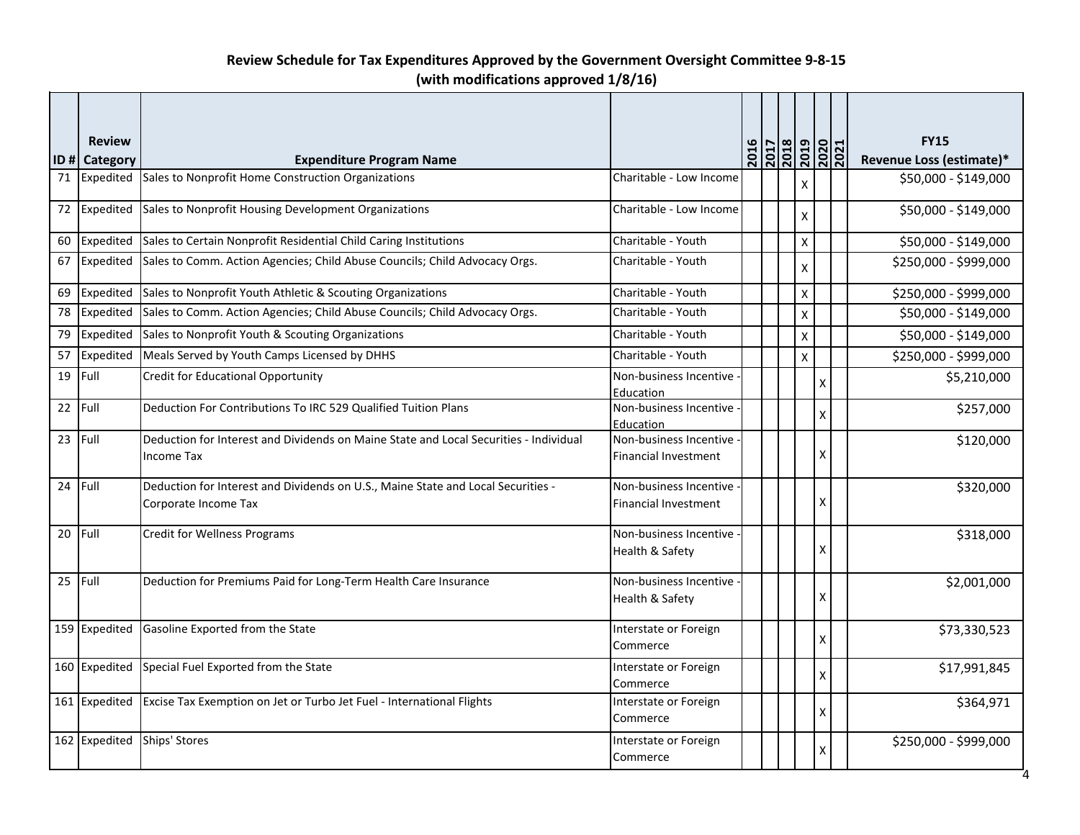|           | <b>Review</b>        |                                                                                                          |                                                       |                                            |                    |   | <b>FY15</b>              |
|-----------|----------------------|----------------------------------------------------------------------------------------------------------|-------------------------------------------------------|--------------------------------------------|--------------------|---|--------------------------|
|           | <b>ID # Category</b> | <b>Expenditure Program Name</b>                                                                          |                                                       | 12020<br>10102<br>101020202021<br>10102021 |                    |   | Revenue Loss (estimate)* |
| 71        | Expedited            | Sales to Nonprofit Home Construction Organizations                                                       | Charitable - Low Income                               |                                            | X                  |   | \$50,000 - \$149,000     |
|           | 72 Expedited         | Sales to Nonprofit Housing Development Organizations                                                     | Charitable - Low Income                               |                                            | Χ                  |   | \$50,000 - \$149,000     |
| 60        |                      | Expedited Sales to Certain Nonprofit Residential Child Caring Institutions                               | Charitable - Youth                                    |                                            | $\pmb{\mathsf{X}}$ |   | \$50,000 - \$149,000     |
| 67        |                      | Expedited Sales to Comm. Action Agencies; Child Abuse Councils; Child Advocacy Orgs.                     | Charitable - Youth                                    |                                            | X                  |   | \$250,000 - \$999,000    |
| 69        | Expedited            | Sales to Nonprofit Youth Athletic & Scouting Organizations                                               | Charitable - Youth                                    |                                            | X                  |   | \$250,000 - \$999,000    |
| 78        | Expedited            | Sales to Comm. Action Agencies; Child Abuse Councils; Child Advocacy Orgs.                               | Charitable - Youth                                    |                                            | $\pmb{\mathsf{X}}$ |   | \$50,000 - \$149,000     |
| 79        |                      | Expedited Sales to Nonprofit Youth & Scouting Organizations                                              | Charitable - Youth                                    |                                            | X                  |   | \$50,000 - \$149,000     |
| 57        | Expedited            | Meals Served by Youth Camps Licensed by DHHS                                                             | Charitable - Youth                                    |                                            | X                  |   | \$250,000 - \$999,000    |
| 19        | Full                 | <b>Credit for Educational Opportunity</b>                                                                | Non-business Incentive<br>Education                   |                                            |                    | x | \$5,210,000              |
| 22 Full   |                      | Deduction For Contributions To IRC 529 Qualified Tuition Plans                                           | Non-business Incentive<br>Education                   |                                            |                    | X | \$257,000                |
| $23$ Full |                      | Deduction for Interest and Dividends on Maine State and Local Securities - Individual<br>Income Tax      | Non-business Incentive<br><b>Financial Investment</b> |                                            |                    | X | \$120,000                |
| 24        | Full                 | Deduction for Interest and Dividends on U.S., Maine State and Local Securities -<br>Corporate Income Tax | Non-business Incentive<br><b>Financial Investment</b> |                                            |                    | x | \$320,000                |
|           | 20 Full              | <b>Credit for Wellness Programs</b>                                                                      | Non-business Incentive<br>Health & Safety             |                                            |                    | x | \$318,000                |
| 25 Full   |                      | Deduction for Premiums Paid for Long-Term Health Care Insurance                                          | Non-business Incentive<br>Health & Safety             |                                            |                    | X | \$2,001,000              |
|           | 159 Expedited        | Gasoline Exported from the State                                                                         | Interstate or Foreign<br>Commerce                     |                                            |                    | X | \$73,330,523             |
|           | 160 Expedited        | Special Fuel Exported from the State                                                                     | Interstate or Foreign<br>Commerce                     |                                            |                    | Χ | \$17,991,845             |
|           | 161 Expedited        | Excise Tax Exemption on Jet or Turbo Jet Fuel - International Flights                                    | Interstate or Foreign<br>Commerce                     |                                            |                    | X | \$364,971                |
|           | 162 Expedited        | Ships' Stores                                                                                            | Interstate or Foreign<br>Commerce                     |                                            |                    | x | \$250,000 - \$999,000    |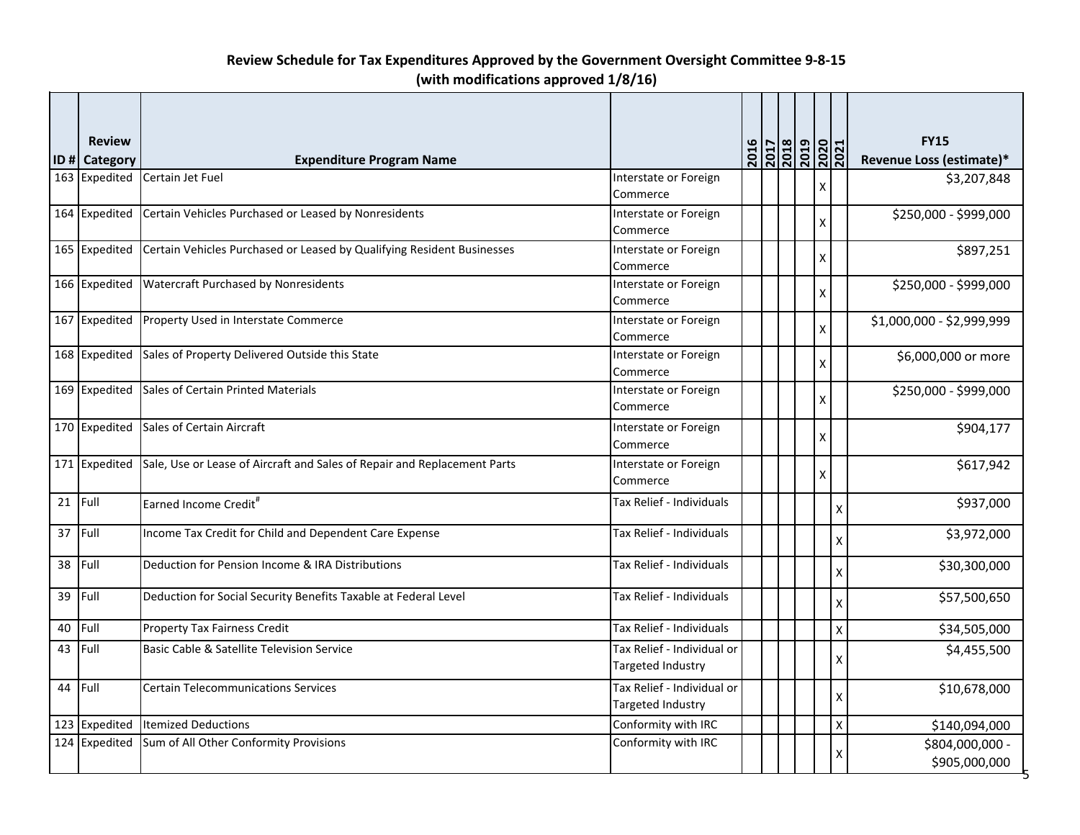|           | <b>Review</b> |                                                                                        |                                   | 2016 |  | 1702<br><b>6102</b><br>1702<br>1702<br>17021 |    |                    | <b>FY15</b>               |
|-----------|---------------|----------------------------------------------------------------------------------------|-----------------------------------|------|--|----------------------------------------------|----|--------------------|---------------------------|
|           | ID # Category | <b>Expenditure Program Name</b>                                                        |                                   |      |  |                                              |    |                    | Revenue Loss (estimate)*  |
|           |               | 163 Expedited Certain Jet Fuel                                                         | Interstate or Foreign             |      |  |                                              | X  |                    | \$3,207,848               |
|           |               |                                                                                        | Commerce                          |      |  |                                              |    |                    |                           |
|           | 164 Expedited | Certain Vehicles Purchased or Leased by Nonresidents                                   | Interstate or Foreign             |      |  |                                              | x  |                    | \$250,000 - \$999,000     |
|           |               |                                                                                        | Commerce                          |      |  |                                              |    |                    |                           |
|           | 165 Expedited | Certain Vehicles Purchased or Leased by Qualifying Resident Businesses                 | Interstate or Foreign<br>Commerce |      |  |                                              | X  |                    | \$897,251                 |
|           |               | 166 Expedited Watercraft Purchased by Nonresidents                                     | Interstate or Foreign             |      |  |                                              |    |                    | \$250,000 - \$999,000     |
|           |               |                                                                                        | Commerce                          |      |  |                                              | X  |                    |                           |
|           |               | 167 Expedited Property Used in Interstate Commerce                                     | Interstate or Foreign             |      |  |                                              | x  |                    | \$1,000,000 - \$2,999,999 |
|           |               |                                                                                        | Commerce                          |      |  |                                              |    |                    |                           |
|           |               | 168 Expedited Sales of Property Delivered Outside this State                           | Interstate or Foreign             |      |  |                                              | x  |                    | \$6,000,000 or more       |
|           |               |                                                                                        | Commerce                          |      |  |                                              |    |                    |                           |
|           |               | 169 Expedited Sales of Certain Printed Materials                                       | Interstate or Foreign             |      |  |                                              | x  |                    | \$250,000 - \$999,000     |
|           |               |                                                                                        | Commerce                          |      |  |                                              |    |                    |                           |
|           |               | 170 Expedited Sales of Certain Aircraft                                                | Interstate or Foreign             |      |  |                                              | X. |                    | \$904,177                 |
|           |               |                                                                                        | Commerce                          |      |  |                                              |    |                    |                           |
|           |               | 171 Expedited Sale, Use or Lease of Aircraft and Sales of Repair and Replacement Parts | Interstate or Foreign             |      |  |                                              | x  |                    | \$617,942                 |
|           |               |                                                                                        | Commerce                          |      |  |                                              |    |                    |                           |
| $21$ Full |               | Earned Income Credit <sup>#</sup>                                                      | Tax Relief - Individuals          |      |  |                                              |    | $\pmb{\mathsf{X}}$ | \$937,000                 |
| 37 Full   |               | Income Tax Credit for Child and Dependent Care Expense                                 | Tax Relief - Individuals          |      |  |                                              |    | X                  | \$3,972,000               |
| 38 Full   |               | Deduction for Pension Income & IRA Distributions                                       | Tax Relief - Individuals          |      |  |                                              |    | $\pmb{\mathsf{X}}$ | \$30,300,000              |
| 39 Full   |               | Deduction for Social Security Benefits Taxable at Federal Level                        | Tax Relief - Individuals          |      |  |                                              |    | X                  | \$57,500,650              |
| 40        | Full          | <b>Property Tax Fairness Credit</b>                                                    | Tax Relief - Individuals          |      |  |                                              |    | $\pmb{\mathsf{X}}$ | \$34,505,000              |
| 43        | Full          | Basic Cable & Satellite Television Service                                             | Tax Relief - Individual or        |      |  |                                              |    |                    | \$4,455,500               |
|           |               |                                                                                        | Targeted Industry                 |      |  |                                              |    | x                  |                           |
| 44 Full   |               | <b>Certain Telecommunications Services</b>                                             | Tax Relief - Individual or        |      |  |                                              |    |                    | \$10,678,000              |
|           |               |                                                                                        | Targeted Industry                 |      |  |                                              |    | X                  |                           |
|           |               | 123 Expedited Itemized Deductions                                                      | Conformity with IRC               |      |  |                                              |    | X                  | \$140,094,000             |
|           |               | 124 Expedited Sum of All Other Conformity Provisions                                   | Conformity with IRC               |      |  |                                              |    |                    | \$804,000,000 -           |
|           |               |                                                                                        |                                   |      |  |                                              |    | x                  | \$905,000,000             |
|           |               |                                                                                        |                                   |      |  |                                              |    |                    |                           |